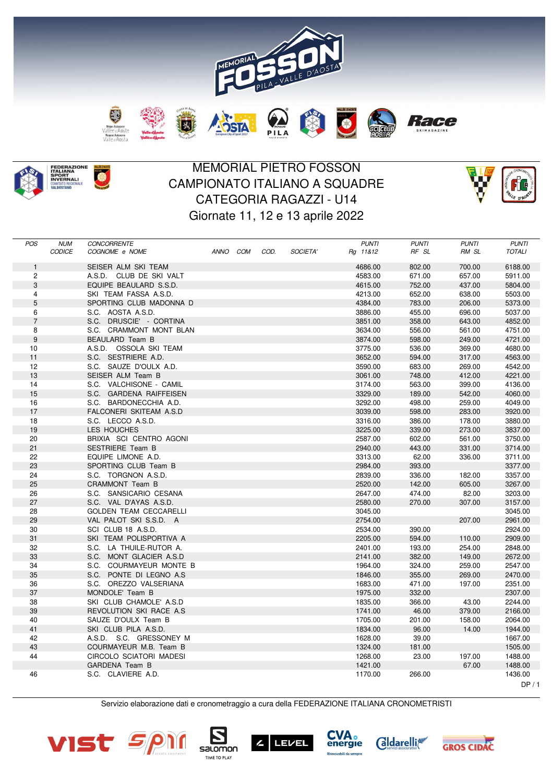



O

## MEMORIAL PIETRO FOSSON CAMPIONATO ITALIANO A SQUADRE CATEGORIA RAGAZZI - U14 Giornate 11, 12 e 13 aprile 2022



| <b>POS</b>     | <b>NUM</b><br>CODICE | <b>CONCORRENTE</b><br>COGNOME e NOME | ANNO COM | COD. | SOCIETA' | <b>PUNTI</b><br>Rg 11&12 | <b>PUNTI</b><br>RF SL | <b>PUNTI</b><br>RM SL | <b>PUNTI</b><br><b>TOTALI</b> |
|----------------|----------------------|--------------------------------------|----------|------|----------|--------------------------|-----------------------|-----------------------|-------------------------------|
|                |                      |                                      |          |      |          |                          |                       |                       |                               |
| $\mathbf{1}$   |                      | SEISER ALM SKI TEAM                  |          |      |          | 4686.00                  | 802.00                | 700.00                | 6188.00                       |
| $\overline{c}$ |                      | A.S.D. CLUB DE SKI VALT              |          |      |          | 4583.00                  | 671.00                | 657.00                | 5911.00                       |
| 3              |                      | EQUIPE BEAULARD S.S.D.               |          |      |          | 4615.00                  | 752.00                | 437.00                | 5804.00                       |
| 4              |                      | SKI TEAM FASSA A.S.D.                |          |      |          | 4213.00                  | 652.00                | 638.00                | 5503.00                       |
| 5              |                      | SPORTING CLUB MADONNA D              |          |      |          | 4384.00                  | 783.00                | 206.00                | 5373.00                       |
| 6              |                      | S.C. AOSTA A.S.D.                    |          |      |          | 3886.00                  | 455.00                | 696.00                | 5037.00                       |
| $\overline{7}$ |                      | S.C. DRUSCIE' - CORTINA              |          |      |          | 3851.00                  | 358.00                | 643.00                | 4852.00                       |
| 8              |                      | S.C. CRAMMONT MONT BLAN              |          |      |          | 3634.00                  | 556.00                | 561.00                | 4751.00                       |
| $9\,$          |                      | BEAULARD Team B                      |          |      |          | 3874.00                  | 598.00                | 249.00                | 4721.00                       |
| 10             |                      | A.S.D. OSSOLA SKI TEAM               |          |      |          | 3775.00                  | 536.00                | 369.00                | 4680.00                       |
| 11             |                      | S.C. SESTRIERE A.D.                  |          |      |          | 3652.00                  | 594.00                | 317.00                | 4563.00                       |
| 12             |                      | S.C. SAUZE D'OULX A.D.               |          |      |          | 3590.00                  | 683.00                | 269.00                | 4542.00                       |
| 13             |                      | SEISER ALM Team B                    |          |      |          | 3061.00                  | 748.00                | 412.00                | 4221.00                       |
| 14             |                      | S.C. VALCHISONE - CAMIL              |          |      |          | 3174.00                  | 563.00                | 399.00                | 4136.00                       |
| 15             |                      | S.C. GARDENA RAIFFEISEN              |          |      |          | 3329.00                  | 189.00                | 542.00                | 4060.00                       |
| 16             |                      | S.C. BARDONECCHIA A.D.               |          |      |          | 3292.00                  | 498.00                | 259.00                | 4049.00                       |
| 17             |                      | FALCONERI SKITEAM A.S.D              |          |      |          | 3039.00                  | 598.00                | 283.00                | 3920.00                       |
| 18             |                      | S.C. LECCO A.S.D.                    |          |      |          | 3316.00                  | 386.00                | 178.00                | 3880.00                       |
| 19             |                      | LES HOUCHES                          |          |      |          | 3225.00                  | 339.00                | 273.00                | 3837.00                       |
| 20             |                      | BRIXIA SCI CENTRO AGONI              |          |      |          | 2587.00                  | 602.00                | 561.00                | 3750.00                       |
| 21             |                      | <b>SESTRIERE Team B</b>              |          |      |          | 2940.00                  | 443.00                | 331.00                | 3714.00                       |
| 22             |                      | EQUIPE LIMONE A.D.                   |          |      |          | 3313.00                  | 62.00                 | 336.00                | 3711.00                       |
| 23             |                      | SPORTING CLUB Team B                 |          |      |          | 2984.00                  | 393.00                |                       | 3377.00                       |
| 24             |                      | S.C. TORGNON A.S.D.                  |          |      |          | 2839.00                  | 336.00                | 182.00                | 3357.00                       |
| 25             |                      | CRAMMONT Team B                      |          |      |          | 2520.00                  | 142.00                | 605.00                | 3267.00                       |
| 26             |                      | S.C. SANSICARIO CESANA               |          |      |          | 2647.00                  | 474.00                | 82.00                 | 3203.00                       |
| 27             |                      | S.C. VAL D'AYAS A.S.D.               |          |      |          | 2580.00                  | 270.00                | 307.00                | 3157.00                       |
| 28             |                      | <b>GOLDEN TEAM CECCARELLI</b>        |          |      |          | 3045.00                  |                       |                       | 3045.00                       |
| 29             |                      | VAL PALOT SKI S.S.D. A               |          |      |          | 2754.00                  |                       | 207.00                | 2961.00                       |
| 30             |                      | SCI CLUB 18 A.S.D.                   |          |      |          | 2534.00                  | 390.00                |                       | 2924.00                       |
| 31             |                      | SKI TEAM POLISPORTIVA A              |          |      |          | 2205.00                  | 594.00                | 110.00                | 2909.00                       |
| 32             |                      | S.C. LA THUILE-RUTOR A.              |          |      |          | 2401.00                  | 193.00                | 254.00                | 2848.00                       |
| 33             |                      | S.C. MONT GLACIER A.S.D              |          |      |          | 2141.00                  | 382.00                | 149.00                | 2672.00                       |
| 34             |                      | S.C. COURMAYEUR MONTE B              |          |      |          | 1964.00                  | 324.00                | 259.00                | 2547.00                       |
| 35             |                      | S.C. PONTE DI LEGNO A.S.             |          |      |          | 1846.00                  | 355.00                | 269.00                | 2470.00                       |
| 36             |                      | S.C. OREZZO VALSERIANA               |          |      |          | 1683.00                  | 471.00                | 197.00                | 2351.00                       |
| 37             |                      | MONDOLE' Team B                      |          |      |          | 1975.00                  | 332.00                |                       | 2307.00                       |
| 38             |                      | SKI CLUB CHAMOLE' A.S.D              |          |      |          | 1835.00                  | 366.00                | 43.00                 | 2244.00                       |
| 39             |                      | REVOLUTION SKI RACE A.S.             |          |      |          | 1741.00                  | 46.00                 | 379.00                | 2166.00                       |
| 40             |                      | SAUZE D'OULX Team B                  |          |      |          | 1705.00                  | 201.00                | 158.00                | 2064.00                       |
| 41             |                      | SKI CLUB PILA A.S.D.                 |          |      |          | 1834.00                  | 96.00                 | 14.00                 | 1944.00                       |
| 42             |                      | A.S.D. S.C. GRESSONEY M              |          |      |          | 1628.00                  | 39.00                 |                       | 1667.00                       |
| 43             |                      | COURMAYEUR M.B. Team B               |          |      |          | 1324.00                  | 181.00                |                       | 1505.00                       |
| 44             |                      | CIRCOLO SCIATORI MADESI              |          |      |          | 1268.00                  | 23.00                 | 197.00                | 1488.00                       |
|                |                      | <b>GARDENA Team B</b>                |          |      |          | 1421.00                  |                       | 67.00                 | 1488.00                       |
| 46             |                      | S.C. CLAVIERE A.D.                   |          |      |          | 1170.00                  | 266.00                |                       | 1436.00                       |
|                |                      |                                      |          |      |          |                          |                       |                       | DP/1                          |

Servizio elaborazione dati e cronometraggio a cura della FEDERAZIONE ITALIANA CRONOMETRISTI